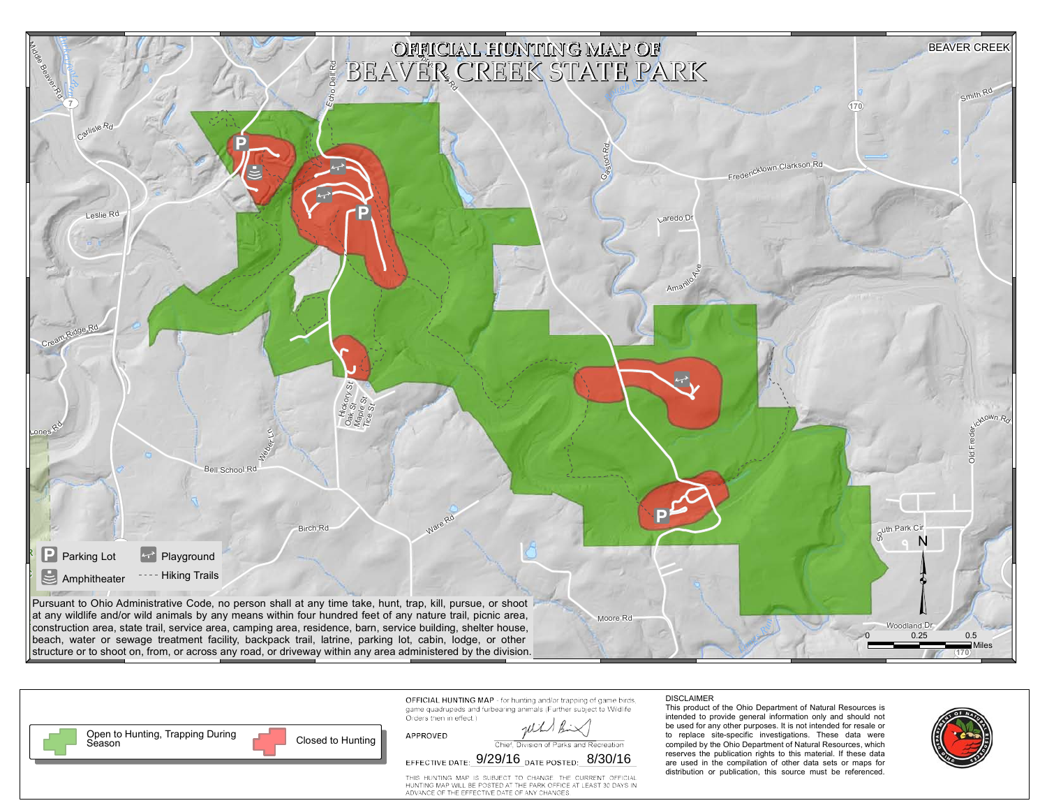



|                         | game quadrupeds and furbearing animals (Further subject to Wildlife |
|-------------------------|---------------------------------------------------------------------|
| Orders then in effect.) |                                                                     |
|                         | Will Bir                                                            |
| APPROVED                |                                                                     |

Chief, Division of Parks and Recreation

DISCLAIMER

This product of the Ohio Department of Natural Resources is intended to provide general information only and should not be used for any other purposes. It is not intended for resale or to replace site-specific investigations. These data were compiled by the Ohio Department of Natural Resources, which reserves the publication rights to this material. If these data are used in the compilation of other data sets or maps for distribution or publication, this source must be referenced.



THIS HUNTING MAP IS SUBJECT TO CHANGE. THE CURRENT OFFICIAL HUNTING MAP WILL BE POSTED AT THE PARK OFFICE AT LEAST 30 DAYS IN<br>ADVANCE OF THE EFFECTIVE DATE OF ANY CHANGES.

EFFECTIVE DATE:  $9/29/16$  DATE POSTED:  $8/30/16$ 

game quad Orders then